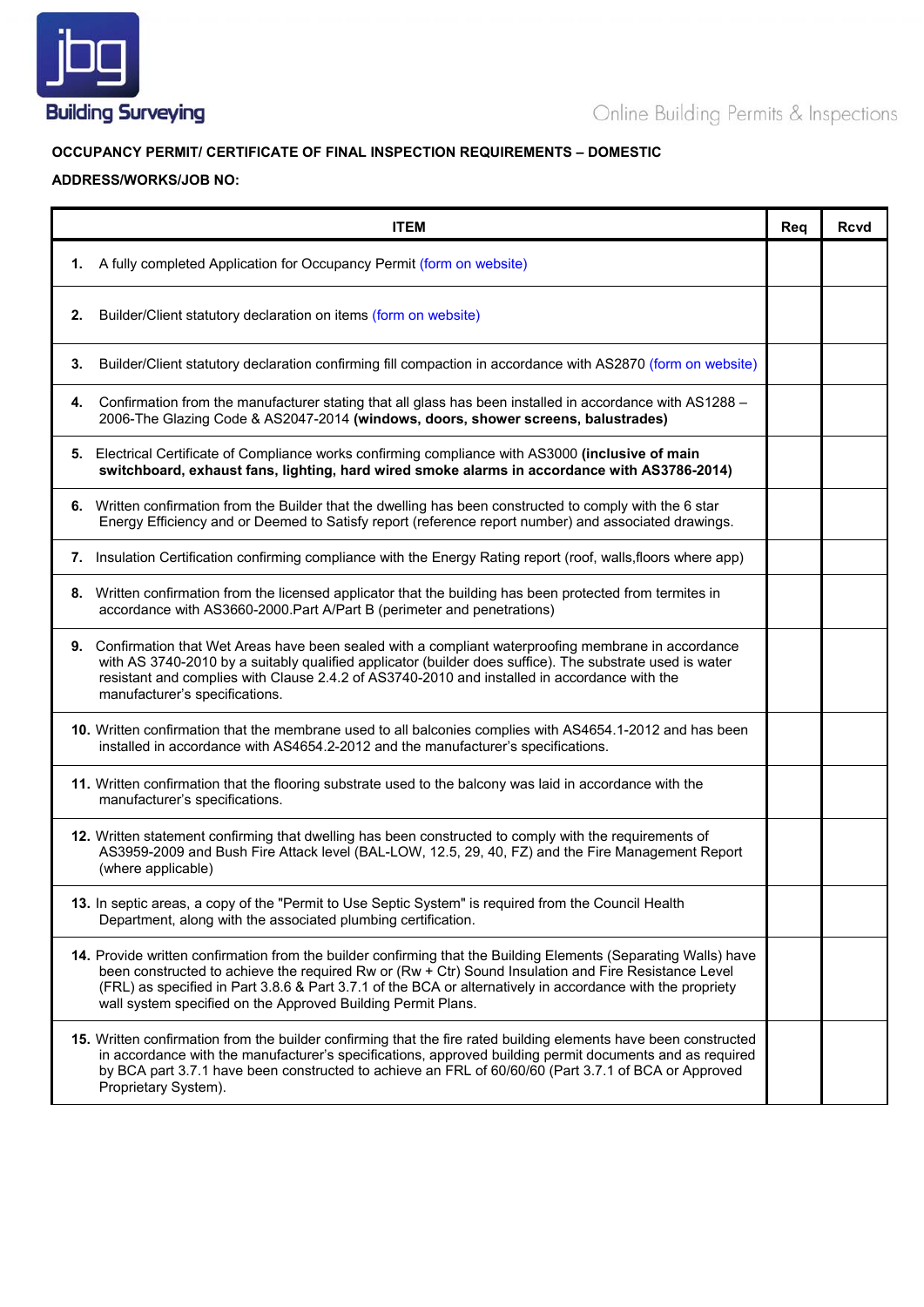

## **OCCUPANCY PERMIT/ CERTIFICATE OF FINAL INSPECTION REQUIREMENTS – DOMESTIC**

## **ADDRESS/WORKS/JOB NO:**

| <b>ITEM</b>                                                                                                                                                                                                                                                                                                                                                                                           | Rea | <b>Rcvd</b> |
|-------------------------------------------------------------------------------------------------------------------------------------------------------------------------------------------------------------------------------------------------------------------------------------------------------------------------------------------------------------------------------------------------------|-----|-------------|
| 1. A fully completed Application for Occupancy Permit (form on website)                                                                                                                                                                                                                                                                                                                               |     |             |
| Builder/Client statutory declaration on items (form on website)<br>2.                                                                                                                                                                                                                                                                                                                                 |     |             |
| Builder/Client statutory declaration confirming fill compaction in accordance with AS2870 (form on website)<br>3.                                                                                                                                                                                                                                                                                     |     |             |
| Confirmation from the manufacturer stating that all glass has been installed in accordance with AS1288 -<br>4.<br>2006-The Glazing Code & AS2047-2014 (windows, doors, shower screens, balustrades)                                                                                                                                                                                                   |     |             |
| 5. Electrical Certificate of Compliance works confirming compliance with AS3000 (inclusive of main<br>switchboard, exhaust fans, lighting, hard wired smoke alarms in accordance with AS3786-2014)                                                                                                                                                                                                    |     |             |
| 6. Written confirmation from the Builder that the dwelling has been constructed to comply with the 6 star<br>Energy Efficiency and or Deemed to Satisfy report (reference report number) and associated drawings.                                                                                                                                                                                     |     |             |
| 7. Insulation Certification confirming compliance with the Energy Rating report (roof, walls, floors where app)                                                                                                                                                                                                                                                                                       |     |             |
| 8. Written confirmation from the licensed applicator that the building has been protected from termites in<br>accordance with AS3660-2000. Part A/Part B (perimeter and penetrations)                                                                                                                                                                                                                 |     |             |
| 9. Confirmation that Wet Areas have been sealed with a compliant waterproofing membrane in accordance<br>with AS 3740-2010 by a suitably qualified applicator (builder does suffice). The substrate used is water<br>resistant and complies with Clause 2.4.2 of AS3740-2010 and installed in accordance with the<br>manufacturer's specifications.                                                   |     |             |
| 10. Written confirmation that the membrane used to all balconies complies with AS4654.1-2012 and has been<br>installed in accordance with AS4654.2-2012 and the manufacturer's specifications.                                                                                                                                                                                                        |     |             |
| 11. Written confirmation that the flooring substrate used to the balcony was laid in accordance with the<br>manufacturer's specifications.                                                                                                                                                                                                                                                            |     |             |
| 12. Written statement confirming that dwelling has been constructed to comply with the requirements of<br>AS3959-2009 and Bush Fire Attack level (BAL-LOW, 12.5, 29, 40, FZ) and the Fire Management Report<br>(where applicable)                                                                                                                                                                     |     |             |
| 13. In septic areas, a copy of the "Permit to Use Septic System" is required from the Council Health<br>Department, along with the associated plumbing certification.                                                                                                                                                                                                                                 |     |             |
| 14. Provide written confirmation from the builder confirming that the Building Elements (Separating Walls) have<br>been constructed to achieve the required Rw or (Rw + Ctr) Sound Insulation and Fire Resistance Level<br>(FRL) as specified in Part 3.8.6 & Part 3.7.1 of the BCA or alternatively in accordance with the propriety<br>wall system specified on the Approved Building Permit Plans. |     |             |
| 15. Written confirmation from the builder confirming that the fire rated building elements have been constructed<br>in accordance with the manufacturer's specifications, approved building permit documents and as required<br>by BCA part 3.7.1 have been constructed to achieve an FRL of 60/60/60 (Part 3.7.1 of BCA or Approved<br>Proprietary System).                                          |     |             |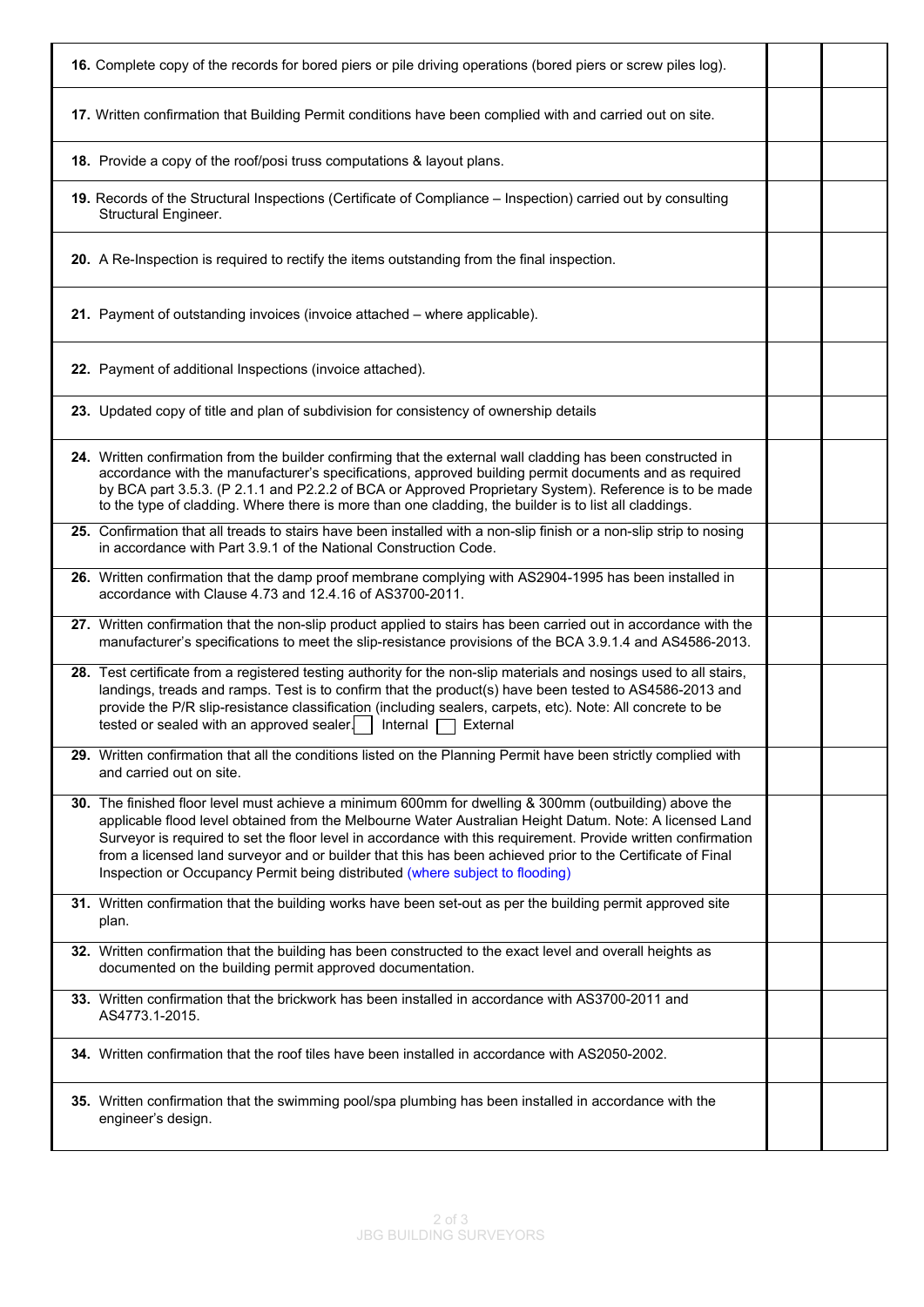| 16. Complete copy of the records for bored piers or pile driving operations (bored piers or screw piles log).                                                                                                                                                                                                                                                                                                                                                                                                                    |  |
|----------------------------------------------------------------------------------------------------------------------------------------------------------------------------------------------------------------------------------------------------------------------------------------------------------------------------------------------------------------------------------------------------------------------------------------------------------------------------------------------------------------------------------|--|
| 17. Written confirmation that Building Permit conditions have been complied with and carried out on site.                                                                                                                                                                                                                                                                                                                                                                                                                        |  |
| 18. Provide a copy of the roof/posi truss computations & layout plans.                                                                                                                                                                                                                                                                                                                                                                                                                                                           |  |
| 19. Records of the Structural Inspections (Certificate of Compliance - Inspection) carried out by consulting<br>Structural Engineer.                                                                                                                                                                                                                                                                                                                                                                                             |  |
| 20. A Re-Inspection is required to rectify the items outstanding from the final inspection.                                                                                                                                                                                                                                                                                                                                                                                                                                      |  |
| 21. Payment of outstanding invoices (invoice attached - where applicable).                                                                                                                                                                                                                                                                                                                                                                                                                                                       |  |
| 22. Payment of additional Inspections (invoice attached).                                                                                                                                                                                                                                                                                                                                                                                                                                                                        |  |
| 23. Updated copy of title and plan of subdivision for consistency of ownership details                                                                                                                                                                                                                                                                                                                                                                                                                                           |  |
| 24. Written confirmation from the builder confirming that the external wall cladding has been constructed in<br>accordance with the manufacturer's specifications, approved building permit documents and as required<br>by BCA part 3.5.3. (P 2.1.1 and P2.2.2 of BCA or Approved Proprietary System). Reference is to be made<br>to the type of cladding. Where there is more than one cladding, the builder is to list all claddings.                                                                                         |  |
| 25. Confirmation that all treads to stairs have been installed with a non-slip finish or a non-slip strip to nosing<br>in accordance with Part 3.9.1 of the National Construction Code.                                                                                                                                                                                                                                                                                                                                          |  |
| 26. Written confirmation that the damp proof membrane complying with AS2904-1995 has been installed in<br>accordance with Clause 4.73 and 12.4.16 of AS3700-2011.                                                                                                                                                                                                                                                                                                                                                                |  |
| 27. Written confirmation that the non-slip product applied to stairs has been carried out in accordance with the<br>manufacturer's specifications to meet the slip-resistance provisions of the BCA 3.9.1.4 and AS4586-2013.                                                                                                                                                                                                                                                                                                     |  |
| 28. Test certificate from a registered testing authority for the non-slip materials and nosings used to all stairs,<br>landings, treads and ramps. Test is to confirm that the product(s) have been tested to AS4586-2013 and<br>provide the P/R slip-resistance classification (including sealers, carpets, etc). Note: All concrete to be<br>tested or sealed with an approved sealer. $\vert$<br>Internal $\Box$<br>External                                                                                                  |  |
| 29. Written confirmation that all the conditions listed on the Planning Permit have been strictly complied with<br>and carried out on site.                                                                                                                                                                                                                                                                                                                                                                                      |  |
| 30. The finished floor level must achieve a minimum 600mm for dwelling & 300mm (outbuilding) above the<br>applicable flood level obtained from the Melbourne Water Australian Height Datum. Note: A licensed Land<br>Surveyor is required to set the floor level in accordance with this requirement. Provide written confirmation<br>from a licensed land surveyor and or builder that this has been achieved prior to the Certificate of Final<br>Inspection or Occupancy Permit being distributed (where subject to flooding) |  |
| 31. Written confirmation that the building works have been set-out as per the building permit approved site<br>plan.                                                                                                                                                                                                                                                                                                                                                                                                             |  |
| 32. Written confirmation that the building has been constructed to the exact level and overall heights as<br>documented on the building permit approved documentation.                                                                                                                                                                                                                                                                                                                                                           |  |
| 33. Written confirmation that the brickwork has been installed in accordance with AS3700-2011 and<br>AS4773.1-2015.                                                                                                                                                                                                                                                                                                                                                                                                              |  |
| 34. Written confirmation that the roof tiles have been installed in accordance with AS2050-2002.                                                                                                                                                                                                                                                                                                                                                                                                                                 |  |
| 35. Written confirmation that the swimming pool/spa plumbing has been installed in accordance with the<br>engineer's design.                                                                                                                                                                                                                                                                                                                                                                                                     |  |